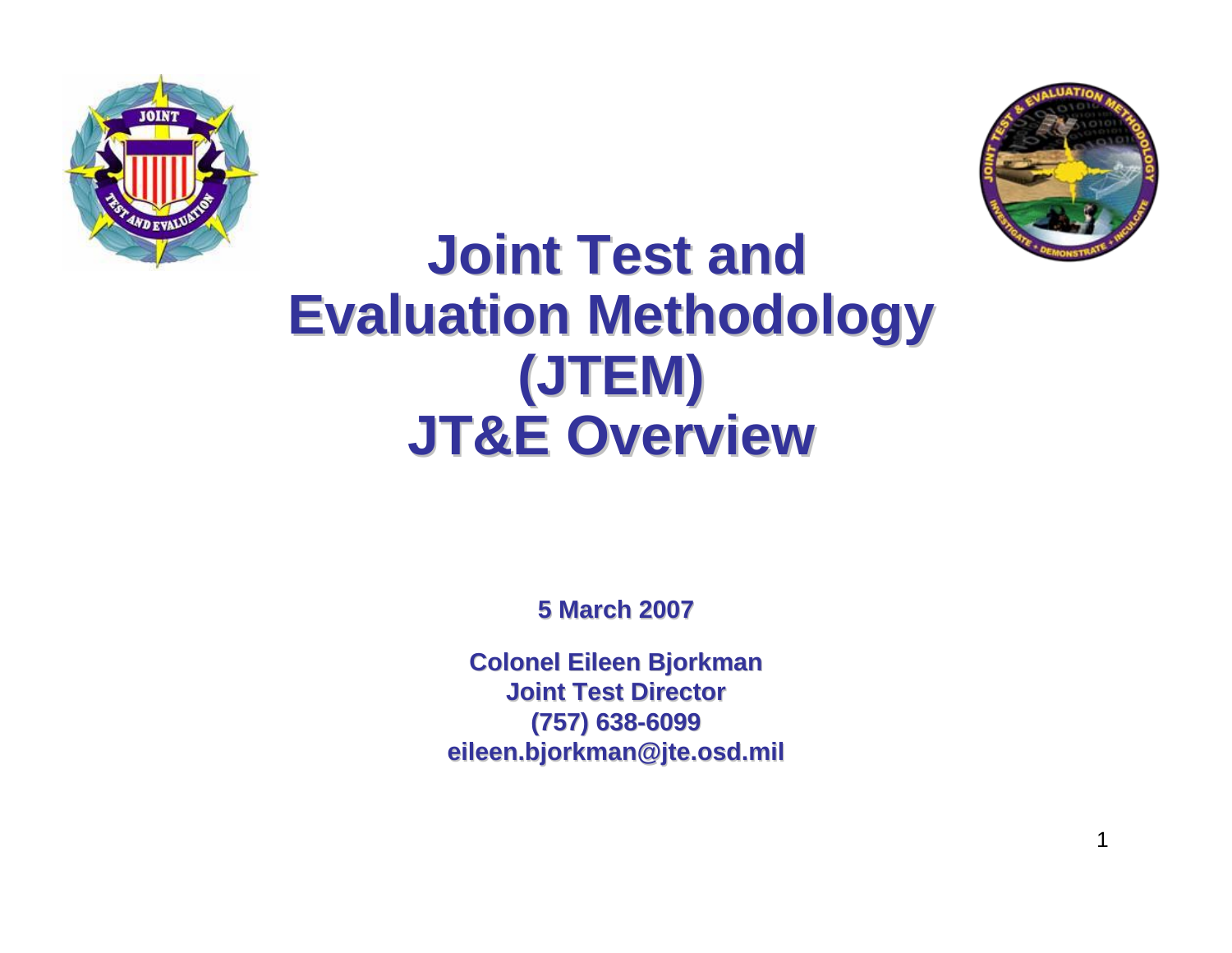



### **Joint Test and Joint Test and Evaluation Methodology (JTEM) JT&E Overview JT&E Overview**

**5 March 2007 5 March 2007**

**Colonel Eileen Bjorkman Colonel Eileen Bjorkman Joint Test Director Joint Test Director(757) 638 (757) 638-6099 eileen.bjorkman@jte.osd.mil eileen.bjorkman@jte.osd.mil**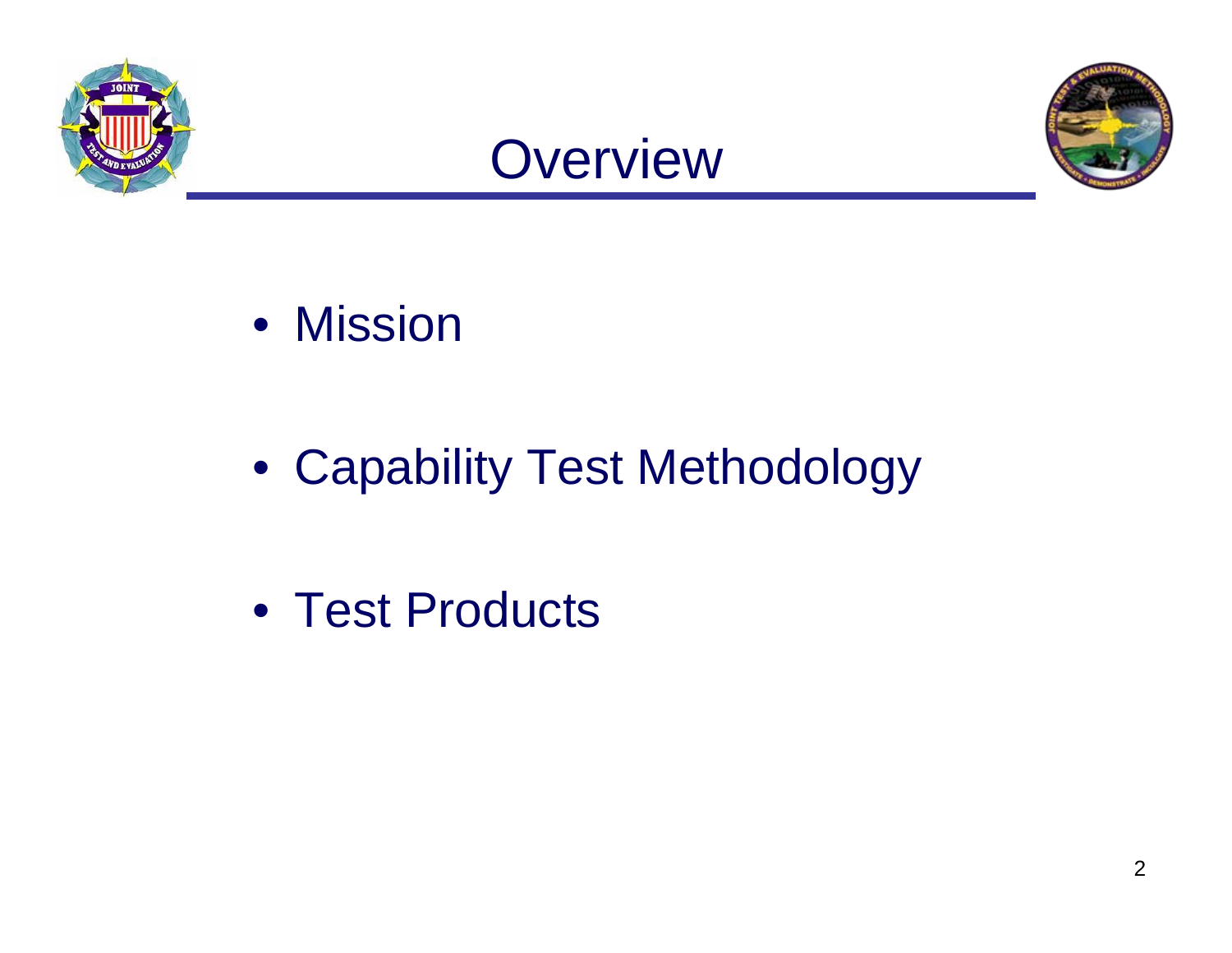





• Mission

• Capability Test Methodology

• Test Products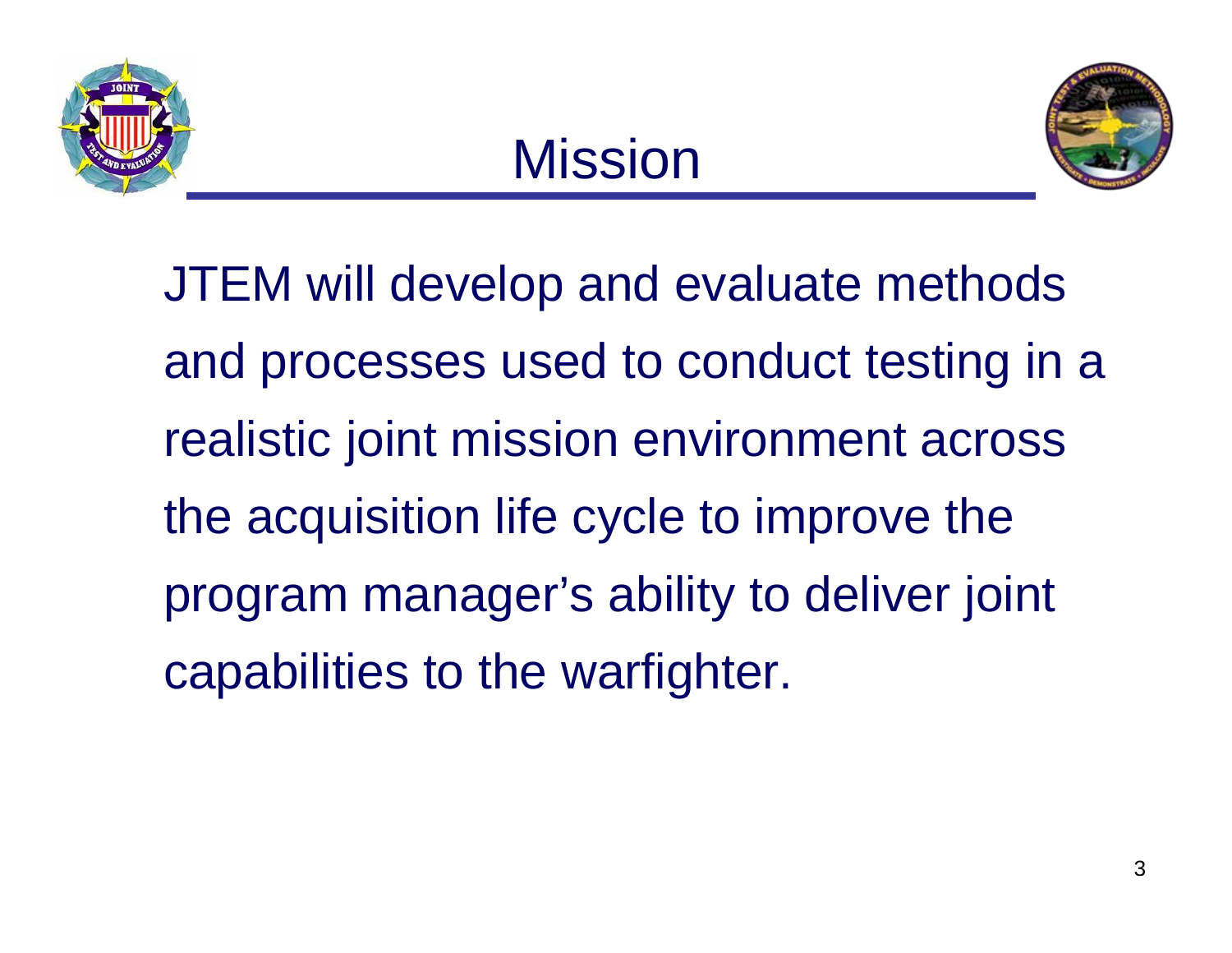



JTEM will develop and evaluate methods and processes used to conduct testing in a realistic joint mission environment across the acquisition life cycle to improve the program manager's ability to deliver joint capabilities to the warfighter.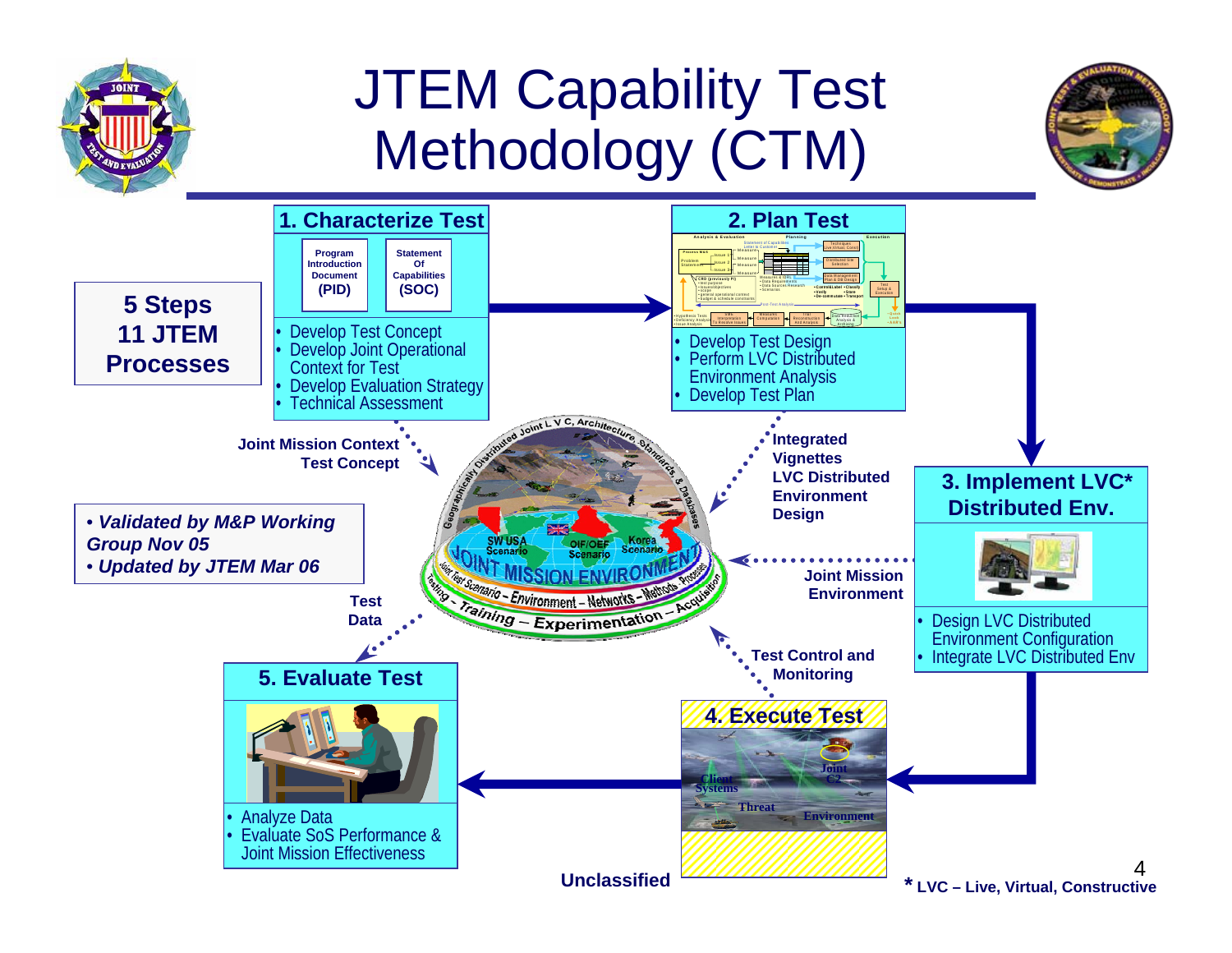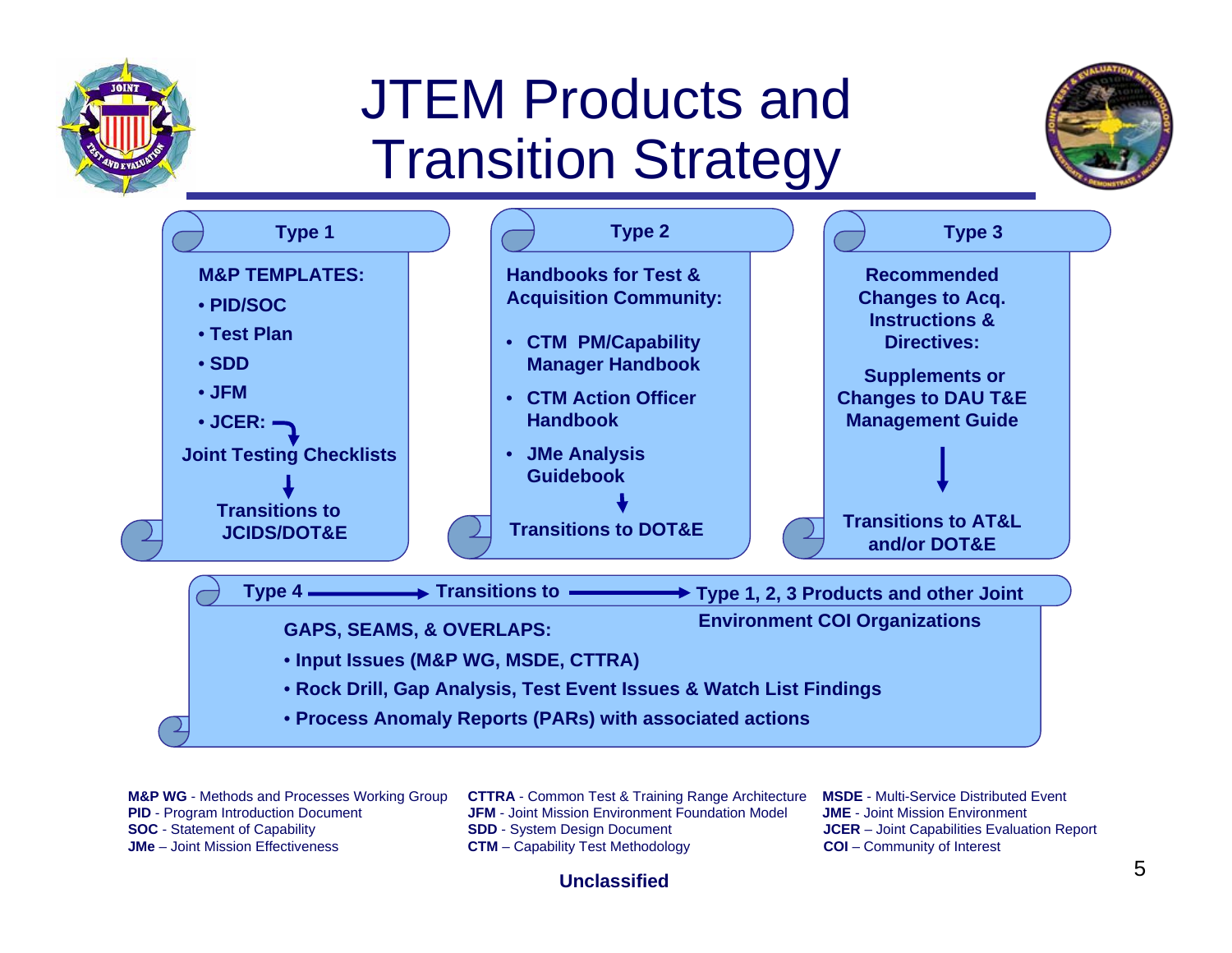## JTEM Products and Transition Strategy





**PID** - Program Introduction Document **SOC** - Statement of Capability

**M&P WG** - Methods and Processes Working Group **CTTRA** - Common Test & Training Range Architecture **MSDE** - Multi-Service Distributed Event **JFM** - Joint Mission Environment Foundation Model **JME** - Joint Mission Environment **SDD** - System Design Document **Capabilities Evaluation Report JCER** – Joint Capabilities Evaluation Report **JMe** – Joint Mission Effectiveness **CTM** – Capability Test Methodology **COI** – Community of Interest

### **Unclassified**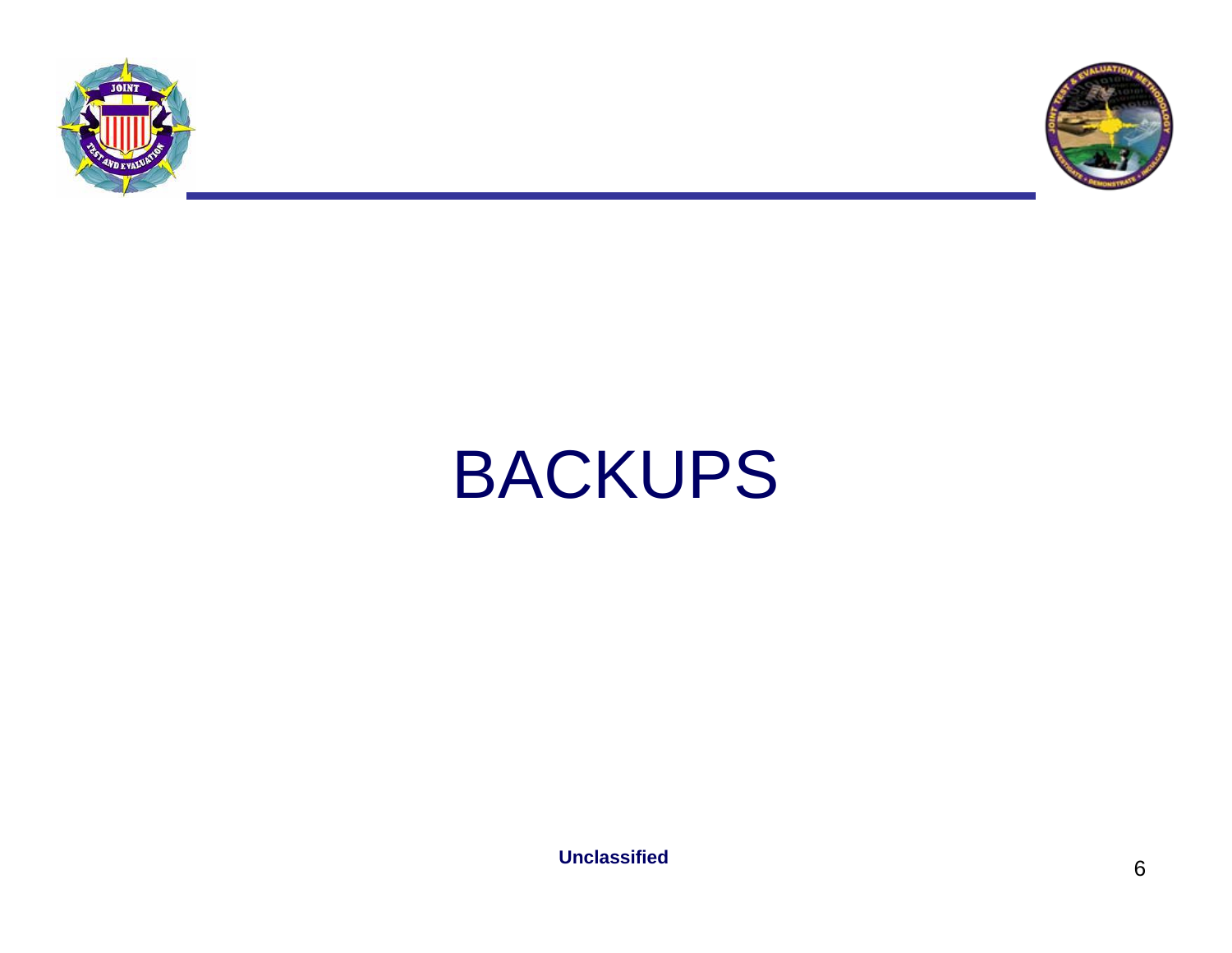



# BACKUPS

**Unclassified**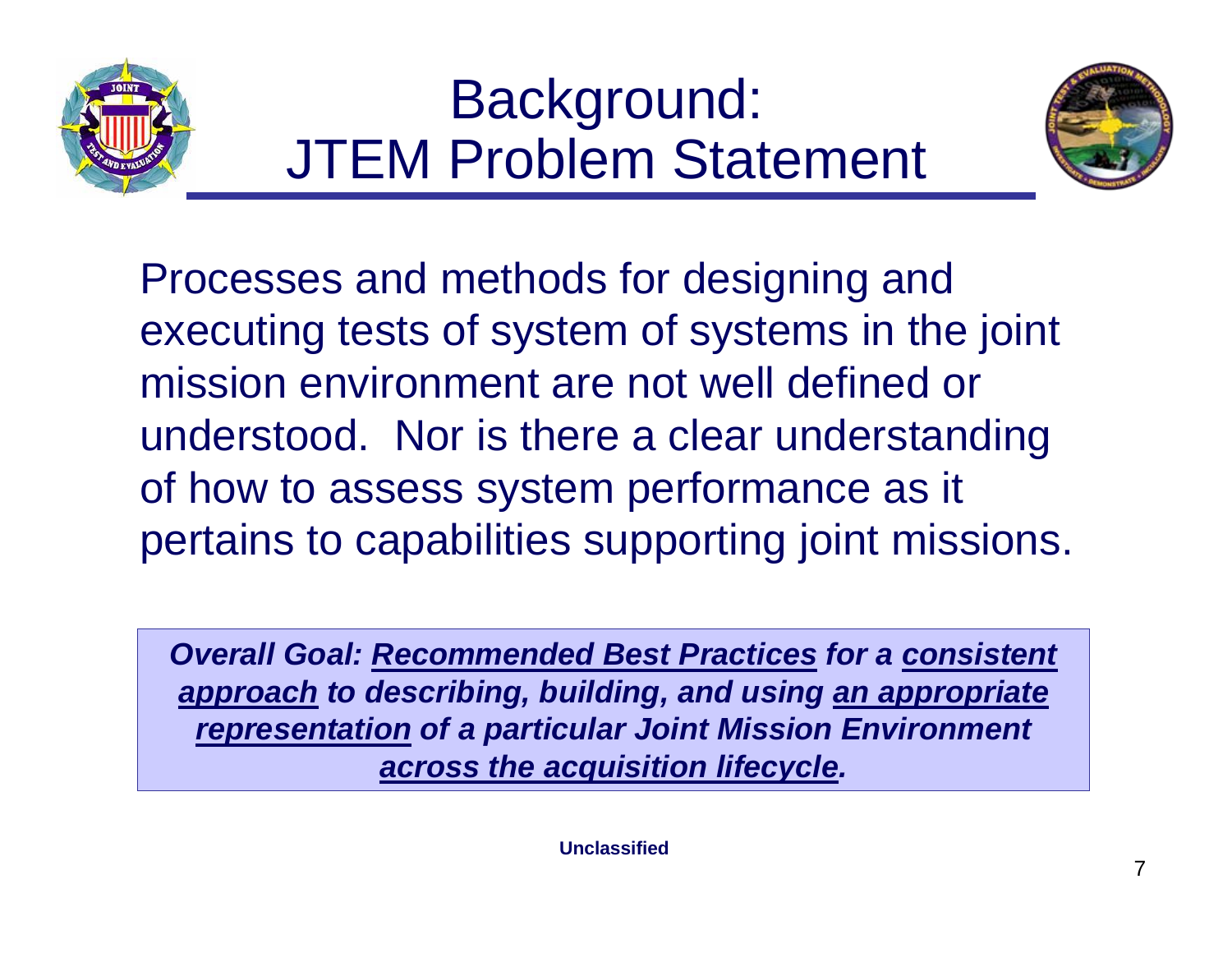



Processes and methods for designing and executing tests of system of systems in the joint mission environment are not well defined or understood. Nor is there a clear understanding of how to assess system performance as it pertains to capabilities supporting joint missions.

*Overall Goal: Recommended Best Practices for a consistent approach to describing, building, and using an appropriate representation of a particular Joint Mission Environment across the acquisition lifecycle.*